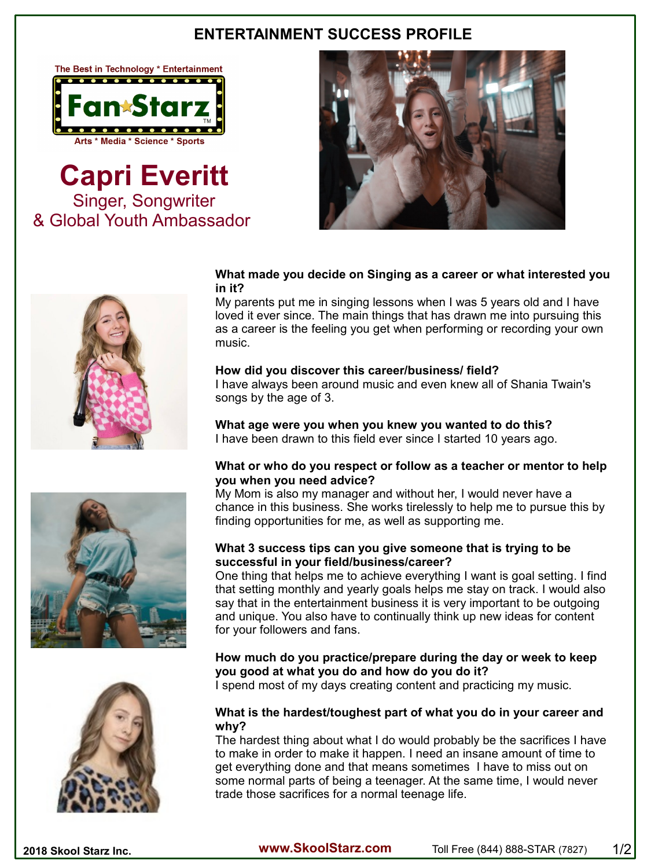# **ENTERTAINMENT SUCCESS PROFILE**



**Capri Everitt** Singer, Songwriter & Global Youth Ambassador





### **What made you decide on Singing as a career or what interested you in it?**

My parents put me in singing lessons when I was 5 years old and I have loved it ever since. The main things that has drawn me into pursuing this as a career is the feeling you get when performing or recording your own music.

## **How did you discover this career/business/ field?**

I have always been around music and even knew all of Shania Twain's songs by the age of 3.

**What age were you when you knew you wanted to do this?** I have been drawn to this field ever since I started 10 years ago.

#### **What or who do you respect or follow as a teacher or mentor to help you when you need advice?**

My Mom is also my manager and without her, I would never have a chance in this business. She works tirelessly to help me to pursue this by finding opportunities for me, as well as supporting me.

## **What 3 success tips can you give someone that is trying to be successful in your field/business/career?**

One thing that helps me to achieve everything I want is goal setting. I find that setting monthly and yearly goals helps me stay on track. I would also say that in the entertainment business it is very important to be outgoing and unique. You also have to continually think up new ideas for content for your followers and fans.

# **How much do you practice/prepare during the day or week to keep you good at what you do and how do you do it?**

I spend most of my days creating content and practicing my music.

## **What is the hardest/toughest part of what you do in your career and why?**

The hardest thing about what I do would probably be the sacrifices I have to make in order to make it happen. I need an insane amount of time to get everything done and that means sometimes I have to miss out on some normal parts of being a teenager. At the same time, I would never trade those sacrifices for a normal teenage life.